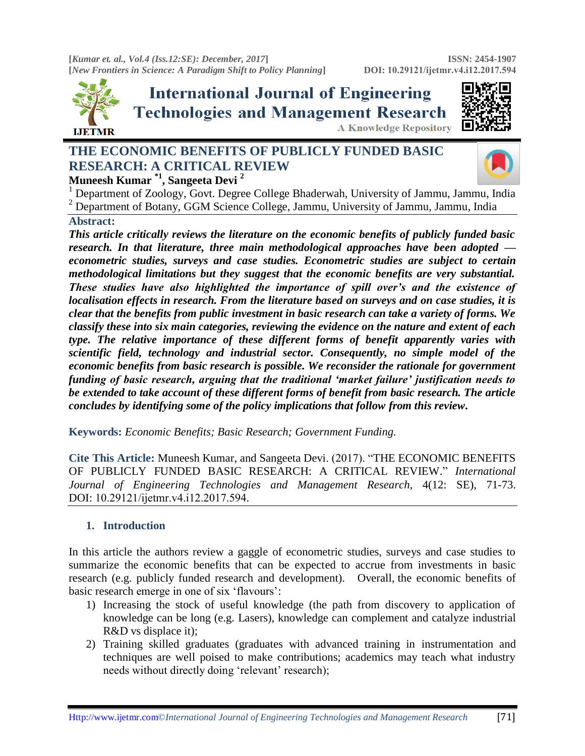

**International Journal of Engineering Technologies and Management Research A Knowledge Repository** 



# **THE ECONOMIC BENEFITS OF PUBLICLY FUNDED BASIC RESEARCH: A CRITICAL REVIEW Muneesh Kumar \*1, Sangeeta Devi <sup>2</sup>**



<sup>1</sup> Department of Zoology, Govt. Degree College Bhaderwah, University of Jammu, Jammu, India

<sup>2</sup> Department of Botany, GGM Science College, Jammu, University of Jammu, Jammu, India

# **Abstract:**

*This article critically reviews the literature on the economic benefits of publicly funded basic research. In that literature, three main methodological approaches have been adopted econometric studies, surveys and case studies. Econometric studies are subject to certain methodological limitations but they suggest that the economic benefits are very substantial. These studies have also highlighted the importance of spill over's and the existence of localisation effects in research. From the literature based on surveys and on case studies, it is clear that the benefits from public investment in basic research can take a variety of forms. We classify these into six main categories, reviewing the evidence on the nature and extent of each type. The relative importance of these different forms of benefit apparently varies with scientific field, technology and industrial sector. Consequently, no simple model of the economic benefits from basic research is possible. We reconsider the rationale for government funding of basic research, arguing that the traditional 'market failure' justification needs to be extended to take account of these different forms of benefit from basic research. The article concludes by identifying some of the policy implications that follow from this review***.**

**Keywords:** *Economic Benefits; Basic Research; Government Funding.* 

**Cite This Article:** Muneesh Kumar, and Sangeeta Devi. (2017). "THE ECONOMIC BENEFITS OF PUBLICLY FUNDED BASIC RESEARCH: A CRITICAL REVIEW." *International Journal of Engineering Technologies and Management Research,* 4(12: SE), 71-73. DOI: 10.29121/ijetmr.v4.i12.2017.594.

## **1. Introduction**

In this article the authors review a gaggle of econometric studies, surveys and case studies to summarize the economic benefits that can be expected to accrue from investments in basic research (e.g. publicly funded research and development). Overall, the economic benefits of basic research emerge in one of six 'flavours':

- 1) Increasing the stock of useful knowledge (the path from discovery to application of knowledge can be long (e.g. Lasers), knowledge can complement and catalyze industrial R&D vs displace it);
- 2) Training skilled graduates (graduates with advanced training in instrumentation and techniques are well poised to make contributions; academics may teach what industry needs without directly doing 'relevant' research);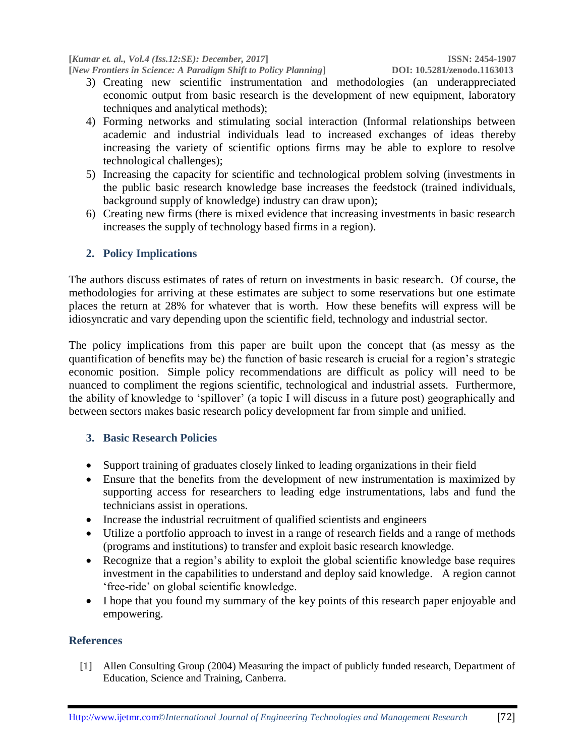- 3) Creating new scientific instrumentation and methodologies (an underappreciated economic output from basic research is the development of new equipment, laboratory techniques and analytical methods);
- 4) Forming networks and stimulating social interaction (Informal relationships between academic and industrial individuals lead to increased exchanges of ideas thereby increasing the variety of scientific options firms may be able to explore to resolve technological challenges);
- 5) Increasing the capacity for scientific and technological problem solving (investments in the public basic research knowledge base increases the feedstock (trained individuals, background supply of knowledge) industry can draw upon);
- 6) Creating new firms (there is mixed evidence that increasing investments in basic research increases the supply of technology based firms in a region).

### **2. Policy Implications**

The authors discuss estimates of rates of return on investments in basic research. Of course, the methodologies for arriving at these estimates are subject to some reservations but one estimate places the return at 28% for whatever that is worth. How these benefits will express will be idiosyncratic and vary depending upon the scientific field, technology and industrial sector.

The policy implications from this paper are built upon the concept that (as messy as the quantification of benefits may be) the function of basic research is crucial for a region"s strategic economic position. Simple policy recommendations are difficult as policy will need to be nuanced to compliment the regions scientific, technological and industrial assets. Furthermore, the ability of knowledge to "spillover" (a topic I will discuss in a future post) geographically and between sectors makes basic research policy development far from simple and unified.

#### **3. Basic Research Policies**

- Support training of graduates closely linked to leading organizations in their field
- Ensure that the benefits from the development of new instrumentation is maximized by supporting access for researchers to leading edge instrumentations, labs and fund the technicians assist in operations.
- Increase the industrial recruitment of qualified scientists and engineers
- Utilize a portfolio approach to invest in a range of research fields and a range of methods (programs and institutions) to transfer and exploit basic research knowledge.
- Recognize that a region's ability to exploit the global scientific knowledge base requires investment in the capabilities to understand and deploy said knowledge. A region cannot 'free-ride' on global scientific knowledge.
- I hope that you found my summary of the key points of this research paper enjoyable and empowering.

#### **References**

[1] Allen Consulting Group (2004) Measuring the impact of publicly funded research, Department of Education, Science and Training, Canberra.